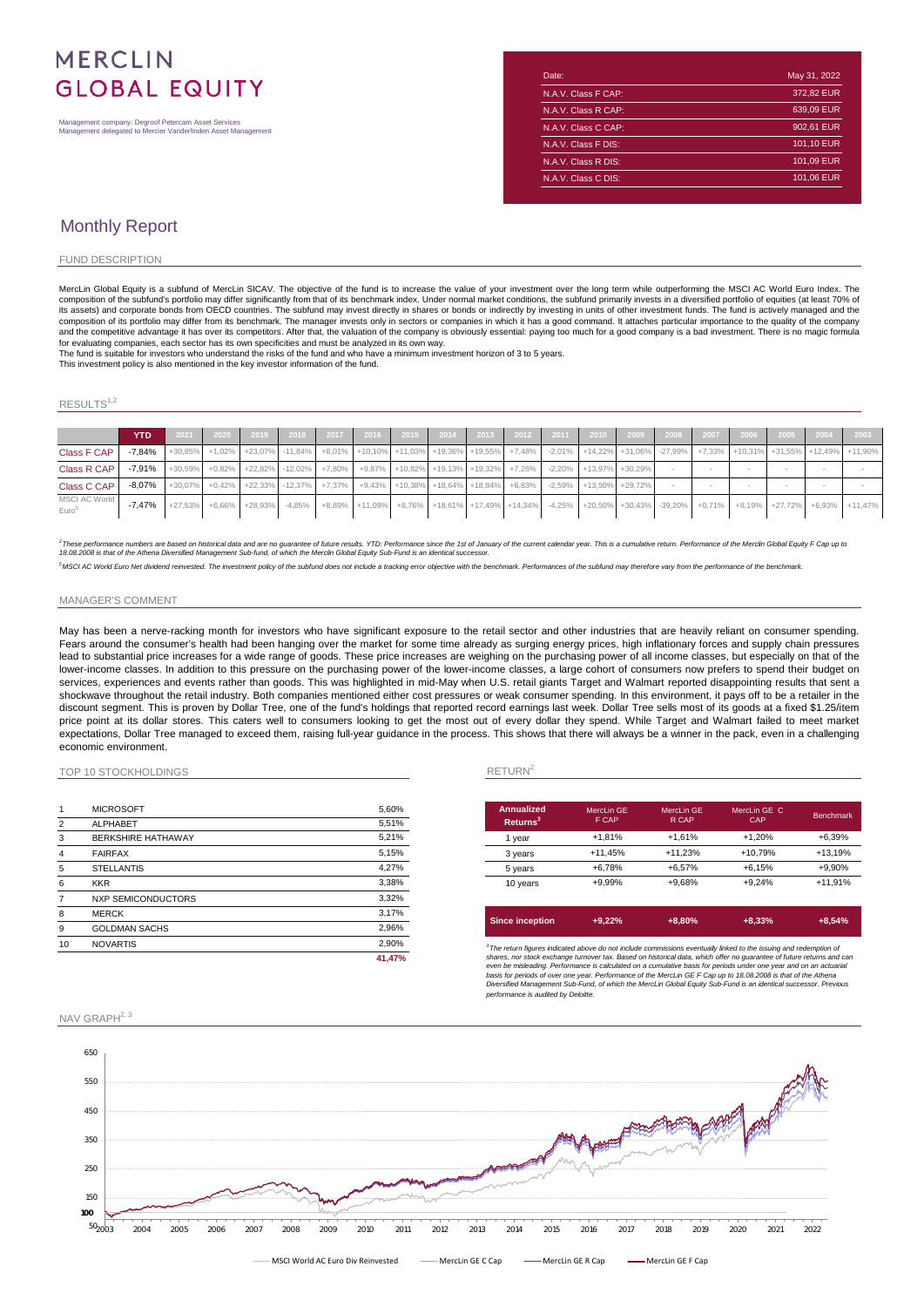# **MERCLIN GLOBAL EQUITY**

Management company: Degroof Petercam Asset Services Management delegated to Mercier Vanderlinden Asset Management

| Date:               | May 31, 2022 |
|---------------------|--------------|
| N.A.V. Class F CAP: | 372.82 EUR   |
| N.A.V. Class R CAP: | 639.09 EUR   |
| N.A.V. Class C CAP: | 902,61 EUR   |
| N.A.V. Class F DIS: | 101,10 EUR   |
| N.A.V. Class R DIS: | 101,09 EUR   |
| N.A.V. Class C DIS: | 101,06 EUR   |

## Monthly Report

#### FUND DESCRIPTION

MercLin Global Equity is a subfund of MercLin SICAV. The objective of the fund is to increase the value of your investment over the long term while outperforming the MSCI AC World Euro Index. The composition of the subfund's portfolio may differ significantly from that of its benchmark index. Under normal market conditions, the subfund primarily invests in a diversified portfolio of equities (at least 70% oi<br>its as composition of its portfolio may differ from its benchmark. The manager invests only in sectors or companies in which it has a good command. It attaches particular importance to the quality of the company<br>and the competiti for evaluating companies, each sector has its own specificities and must be analyzed in its own way.

The fund is suitable for investors who understand the risks of the fund and who have a minimum investment horizon of 3 to 5 years.

This investment policy is also mentioned in the key investor information of the fund.

### $\mathsf{RESULTS}^{1,2}$

|                                    | <b>YTD</b>                                                                                                                                          |  |  |  |  |  |  |  |  |  |                                                                                                                                                                   |
|------------------------------------|-----------------------------------------------------------------------------------------------------------------------------------------------------|--|--|--|--|--|--|--|--|--|-------------------------------------------------------------------------------------------------------------------------------------------------------------------|
| Class F CAP                        |                                                                                                                                                     |  |  |  |  |  |  |  |  |  | -7,84% +30,85% +1,02% +23,07% -11,84% +8,01% +10,10% +11,03% +19,36% +19,55% +7,48% -2,01% +14,22% +31,06% -27,99% +7,33% +10,31% +10,31% +31,55% +12,49% +11,90% |
| Class R CAP                        | $-7.91\%$ $+30.59\%$ $+0.82\%$ $+22.82\%$ $-12.02\%$ $+7.80\%$ $+9.87\%$ $+10.82\%$ $+19.13\%$ $+19.32\%$ $+7.26\%$ $-2.20\%$ $+13.97\%$ $+30.29\%$ |  |  |  |  |  |  |  |  |  |                                                                                                                                                                   |
| Class C CAP                        | $-8.07\%$ +30,07% +0.42% +22,33% -12,37% +7,37% +9.43% +10,38% +18,64% +18,84% +6,83% -2,59% +13,50% +29,72%                                        |  |  |  |  |  |  |  |  |  |                                                                                                                                                                   |
| MSCI AC World<br>Euro <sup>5</sup> |                                                                                                                                                     |  |  |  |  |  |  |  |  |  | -7.47% +27.53% +6.66% +28.93% -4.85% +8.89% +11.09% +8.76% +18.61% +17.49% +14.34% -4.25% +20.50% +30.43% -39.20% +0.71% +8.19% +8.19% +27.72% +6.93% +11.47%     |

2 These performance numbers are based on historical data and are no guarantee of future results. YTD: Performance since the 1st of January of the current calendar year. This is a cumulative return. Performance of the Mercl

<sup>5</sup>MSCI AC World Euro Net dividend reinvested. The investment policy of the subfund does not include a tracking error objective with the benchmark. Performances of the subfund may therefore vary from the performance of the

#### MANAGER'S COMMENT

May has been a nerve-racking month for investors who have significant exposure to the retail sector and other industries that are heavily reliant on consumer spending. Fears around the consumer's health had been hanging over the market for some time already as surging energy prices, high inflationary forces and supply chain pressures lead to substantial price increases for a wide range of goods. These price increases are weighing on the purchasing power of all income classes, but especially on that of the lower-income classes. In addition to this pressure on the purchasing power of the lower-income classes, a large cohort of consumers now prefers to spend their budget on services, experiences and events rather than goods. This was highlighted in mid-May when U.S. retail giants Target and Walmart reported disappointing results that sent a shockwave throughout the retail industry. Both companies mentioned either cost pressures or weak consumer spending. In this environment, it pays off to be a retailer in the discount segment. This is proven by Dollar Tree, one of the fund's holdings that reported record earnings last week. Dollar Tree sells most of its goods at a fixed \$1.25/item price point at its dollar stores. This caters well to consumers looking to get the most out of every dollar they spend. While Target and Walmart failed to meet market expectations, Dollar Tree managed to exceed them, raising full-year guidance in the process. This shows that there will always be a winner in the pack, even in a challenging economic environment.

### TOP 10 STOCKHOLDINGS RETURN<sup>2</sup>

|                | <b>MICROSOFT</b>          | 5,60%  | <b>Annualize</b>     |
|----------------|---------------------------|--------|----------------------|
| $\overline{2}$ | <b>ALPHABET</b>           | 5,51%  | <b>Returns</b>       |
| 3              | <b>BERKSHIRE HATHAWAY</b> | 5,21%  | 1 year               |
| 4              | <b>FAIRFAX</b>            | 5,15%  | 3 years              |
| 5              | <b>STELLANTIS</b>         | 4,27%  | 5 years              |
| 6              | <b>KKR</b>                | 3,38%  | 10 years             |
|                | <b>NXP SEMICONDUCTORS</b> | 3,32%  |                      |
| 8              | <b>MERCK</b>              | 3,17%  |                      |
| 9              | <b>GOLDMAN SACHS</b>      | 2,96%  | <b>Since incep</b>   |
| 10             | <b>NOVARTIS</b>           | 2,90%  | $3$ The return figur |
|                |                           | 41.47% | shares, nor stock    |

| Annualized<br>Returns <sup>3</sup> | MercLin GE<br>F CAP | MercLin GE<br>R CAP | MercLin GE C<br>CAP | <b>Benchmark</b> |
|------------------------------------|---------------------|---------------------|---------------------|------------------|
| 1 vear                             | $+1.81%$            | $+1.61%$            | $+1.20%$            | $+6.39%$         |
| 3 years                            | $+11.45%$           | $+11.23%$           | +10.79%             | +13.19%          |
| 5 years                            | $+6.78%$            | $+6.57%$            | $+6.15%$            | +9.90%           |
| 10 years                           | +9.99%              | +9.68%              | $+9.24%$            | $+11,91%$        |

| Since inception | $+9.22%$ | $+8.80%$ | $+8.33%$ | $+8.54%$ |
|-----------------|----------|----------|----------|----------|
|                 |          |          |          |          |

 ${}^{3}$  The return figures indicated above do not include commissions eventually linked to the issuing and redemption of shares, nor stock exchange turnover tax. Based on historical data, which offer no guarantee of tuture

### NAV GRAPH<sup>2, 3</sup>